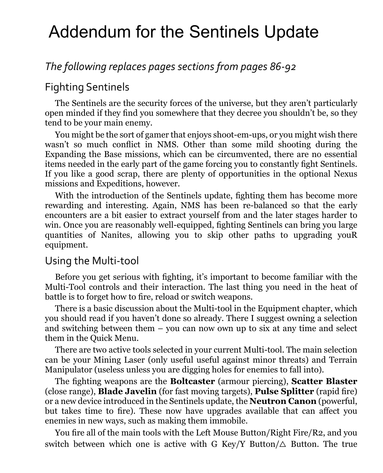# Addendum for the Sentinels Update

# *The following replaces pages sections from pages 86-92*

#### Fighting Sentinels

The Sentinels are the security forces of the universe, but they aren't particularly open minded if they find you somewhere that they decree you shouldn't be, so they tend to be your main enemy.

You might be the sort of gamer that enjoys shoot-em-ups, or you might wish there wasn't so much conflict in NMS. Other than some mild shooting during the Expanding the Base missions, which can be circumvented, there are no essential items needed in the early part of the game forcing you to constantly fight Sentinels. If you like a good scrap, there are plenty of opportunities in the optional Nexus missions and Expeditions, however.

With the introduction of the Sentinels update, fighting them has become more rewarding and interesting. Again, NMS has been re-balanced so that the early encounters are a bit easier to extract yourself from and the later stages harder to win. Once you are reasonably well-equipped, fighting Sentinels can bring you large quantities of Nanites, allowing you to skip other paths to upgrading youR equipment.

#### Using the Multi-tool

Before you get serious with fighting, it's important to become familiar with the Multi-Tool controls and their interaction. The last thing you need in the heat of battle is to forget how to fire, reload or switch weapons.

There is a basic discussion about the Multi-tool in the Equipment chapter, which you should read if you haven't done so already. There I suggest owning a selection and switching between them – you can now own up to six at any time and select them in the Quick Menu.

There are two active tools selected in your current Multi-tool. The main selection can be your Mining Laser (only useful useful against minor threats) and Terrain Manipulator (useless unless you are digging holes for enemies to fall into).

The fighting weapons are the **Boltcaster** (armour piercing), **Scatter Blaster** (close range), **Blade Javelin** (for fast moving targets), **Pulse Splitter** (rapid fire) or a new device introduced in the Sentinels update, the **Neutron Canon** (powerful, but takes time to fire). These now have upgrades available that can affect you enemies in new ways, such as making them immobile.

You fire all of the main tools with the Left Mouse Button/Right Fire/R2, and you switch between which one is active with G Key/Y Button/ $\triangle$  Button. The true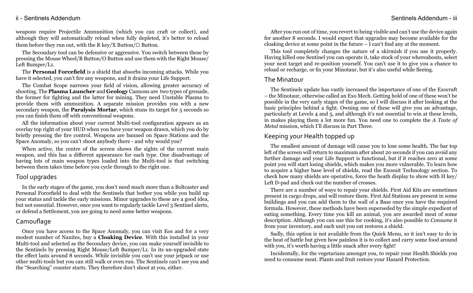# ii - Sentinels Addendum Sentinels Addendum - iii

weapons require Projectile Ammunition (which you can craft or collect), and although they will automatically reload when fully depleted, it's better to reload them before they run out, with the R key/X Button/ $\Box$  Button.

The Secondary tool can be defensive or aggressive. You switch between these by pressing the Mouse Wheel/B Button/O Button and use them with the Right Mouse/ Left Bumper/L1.

The **Personal Forcefield** is a shield that absorbs incoming attacks. While you have it selected, you can't fire any weapons, and it drains your Life Support.

The Combat Scope narrows your field of vision, allowing greater accuracy of shooting. The **Plasma Launcher** and **Geology** Cannons are two types of grenade, the former for fighting and the latter for mining. They need Unstable Plasma to provide them with ammunition. A separate mission provides you with a new secondary weapon, the **Paralysis Mortar**, which stuns its target for 5 seconds so you can finish them off with conventional weapons.

All the information about your current Multi-tool configuration appears as an overlay top right of your HUD when you have your weapon drawn, which you do by briefly pressing the fire control. Weapons are banned on Space Stations and the Space Anomaly, so you can't shoot anybody there - and why would you?

When active, the centre of the screen shows the sights of the current main weapon, and this has a different appearance for each type. One disadvantage of having lots of main weapon types loaded into the Multi-tool is that switching between them takes time before you cycle through to the right one.

### Tool upgrades

In the early stages of the game, you don't need much more than a Boltcaster and Personal Forcefield to deal with the Sentinels that bother you while you build up your status and tackle the early missions. Minor upgrades to these are a good idea, but not essential. However, once you want to regularly tackle Level 3 Sentinel alerts, or defend a Settlement, you are going to need some better weapons.

# Camouflage

Once you have access to the Space Anomaly, you can visit Eos and for a very modest number of Nanites, buy a **Cloaking Device**. With this installed in your Multi-tool and selected as the Secondary device, you can make yourself invisible to the Sentinels by pressing Right Mouse/Left Bumper/L1. In its un-upgraded state the effect lasts around 8 seconds. While invisible you can't use your jetpack or use other multi-tools but you can still walk or even run. The Sentinels can't see you and the "Searching" counter starts. They therefore don't shoot at you, either.

After you run out of time, you revert to being visible and can't use the device again for another 8 seconds. I would expect that upgrades may become available for the cloaking device at some point in the future  $-\overline{I}$  can't find any at the moment.

This tool completely changes the nature of a skirmish if you use it properly. Having killed one Sentinel you can operate it, take stock of your whereabouts, select your next target and re-position yourself. You can't use it to give you a chance to reload or recharge, or fix your Minotaur, but it's also useful while fleeing.

### The Minatour

The Sentinels update has vastly increased the importance of one of the Exocraft – the Minotaur, otherwise called an Exo Mech. Getting hold of one of these won't be possible in the very early stages of the game, so I will discuss it after looking at the basic principles behind a fight. Owning one of these will give you an advantage, particularly at Levels 4 and 5, and although it's not essential to win at these levels, in makes playing them a lot more fun. You need one to complete the *A Taste of Metal* mission, which I'll discuss in Part Three.

# Keeping your Health topped up

The smallest amount of damage will cause you to lose some health. The bar top left of the screen will return to maximum after about 20 seconds if you can avoid any further damage and your Life Support is functional, but if it reaches zero at some point you will start losing shields, which makes you more vulnerable. To learn how to acquire a higher base level of shields, read the Exosuit Technology section. To check how many shields are operative, force the heath display to show with H key/ Left D-pad and check out the number of crosses.

There are a number of ways to repair your shields. First Aid Kits are sometimes present in cargo drops, and will restore them. First Aid Stations are present in some buildings and you can add them to the wall of a Base once you have the required formula. However, these methods have been superseded by the simple expedient of eating something. Every time you kill an animal, you are awarded meat of some description. Although you can use this for cooking, it's also possible to *Consume* it from your inventory, and each unit you eat restores a shield.

Sadly, this option is not available from the Quick Menu, so it isn't easy to do in the heat of battle but given how painless it is to collect and carry some food around with you, it's worth having a little snack after every fight!

Incidentally, for the vegetarians amongst you, to repair your Health Shields you need to consume meat. Plants and fruit restore your Hazard Protection.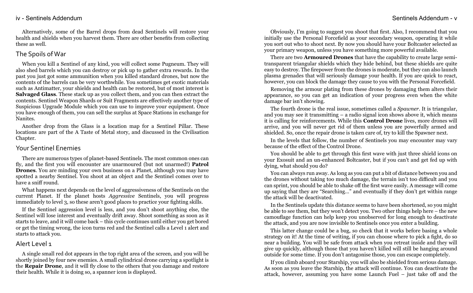Alternatively, some of the Barrel drops from dead Sentinels will restore your health and shields when you harvest them. There are other benefits from collecting these as well.

### The Spoils ofWar

When you kill a Sentinel of any kind, you will collect some Pugneum. They will also shed barrels which you can destroy or pick up to gather extra rewards. In the past you just got some ammunition when you killed standard drones, but now the contents of the barrels can be very worthwhile. You sometimes get exotic materials such as Antimatter, your shields and health can be restored, but of most interest is **Salvaged Glass**. These stack up as you collect them, and you can then extract the contents. Sentinel Weapon Shards or Suit Fragments are effectively another type of Suspicious Upgrade Module which you can use to improve your equipment. Once you have enough of them, you can sell the surplus at Space Stations in exchange for Nanites.

Another drop from the Glass is a location map for a Sentinel Pillar. These locations are part of the A Taste of Metal story, and discussed in the Civilisation Chapter.

### Your Sentinel Enemies

There are numerous types of planet-based Sentinels. The most common ones can fly, and the first you will encounter are unarmoured (but not unarmed!) **Patrol Drones**. You are minding your own business on a Planet, although you may have spotted a nearby Sentinel. You shoot at an object and the Sentinel comes over to have a sniff round.

What happens next depends on the level of aggressiveness of the Sentinels on the current Planet. If the planet hosts *Aggressive* Sentinels, you will progress immediately to level 3, so these aren't good places to practice your fighting skills.

If the Sentinel aggression level is less, and you don't shoot anything else, the Sentinel will lose interest and eventually drift away. Shoot something as soon as it starts to leave, and it will come back – this cycle continues until either you get bored or get the timing wrong, the icon turns red and the Sentinel calls a Level 1 alert and starts to attack you.

### Alert Level 1

A single small red dot appears in the top right area of the screen, and you will be shortly joined by four new enemies. A small cylindrical drone carrying a spotlight is the **Repair Drone**, and it will fly close to the others that you damage and restore their health. While it is doing so, a spanner icon is displayed.

Obviously, I'm going to suggest you shoot that first. Also, I recommend that you initially use the Personal Forcefield as your secondary weapon, operating it while you sort out who to shoot next. By now you should have your Boltcaster selected as your primary weapon, unless you have something more powerful available.

There are two **Armoured Drones** that have the capability to create large semitransparent triangular shields which they hide behind, but these shields are quite easy to destroy. The firepower from the drones is moderate, but they can also launch plasma grenades that will seriously damage your health. If you are quick to react, however, you can block the damage they cause to you with the Personal Forcefield.

Removing the armour plating from these drones by damaging them alters their appearance, so you can get an indication of your progress even when the white damage bar isn't showing.

The fourth drone is the real issue, sometimes called a *Spawner*. It is triangular, and you may see it transmitting – a radio signal icon shows above it, which means it is calling for reinforcements. While this **Control Drone** lives, more drones will arrive, and you will never get rid of them unless you are powerfully armed and shielded. So, once the repair drone is taken care of, try to kill the Spawner next.

In the levels that follow, the number of Sentinels you may encounter may vary because of the effect of the Control Drone.

You should be able to get through this first wave with just three shield icons on your Exosuit and an un-enhanced Boltcaster, but if you can't and get fed up with dying, what should you do?

You can always run away. As long as you can put a bit of distance between you and the drones without taking too much damage, the terrain isn't too difficult and you can sprint, you should be able to shake off the first wave easily. A message will come up saying that they are "Searching…" and eventually if they don't get within range the attack will be deactivated.

In the Sentinels update this distance seems to have been shortened, so you might be able to see them, but they won't detect you. Two other things help here – the new camouflage function can help keep you unobserved for long enough to deactivate the attack, and you are now invisible to Sentinels once you enter a building.

This latter change could be a bug, so check that it works before basing a whole strategy on it! At the time of writing, if you can choose where to pick a fight, do so near a building. You will be safe from attack when you retreat inside and they will give up quickly, although those that you haven't killed will still be hanging around outside for some time. If you don't antagonise those, you can escape completely.

If you climb aboard your Starship, you will also be shielded from serious damage. As soon as you leave the Starship, the attack will continue. You can deactivate the attack, however, assuming you have some Launch Fuel – just take off and the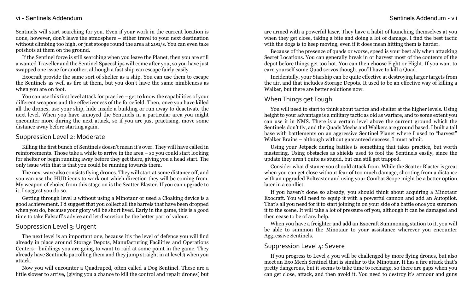Sentinels will start searching for you. Even if your work in the current location is done, however, don't leave the atmosphere – either travel to your next destination without climbing too high, or just stooge round the area at 20u/s. You can even take potshots at them on the ground.

If the Sentinel force is still searching when you leave the Planet, then you are still a wanted Traveller and the Sentinel Spaceships will come after you, so you have just swapped one issue for another, although a fast ship can escape fairly easily.

Exocraft provide the same sort of shelter as a ship. You can use them to escape the Sentinels as well as fire at them, but you don't have the same nimbleness as when you are on foot.

You can use this first level attack for practice – get to know the capabilities of your different weapons and the effectiveness of the forcefield. Then, once you have killed all the drones, use your ship, hide inside a building or run away to deactivate the next level. When you have annoyed the Sentinels in a particular area you might encounter more during the next attack, so if you are just practising, move some distance away before starting again.

#### Suppression Level 2: Moderate

Killing the first bunch of Sentinels doesn't mean it's over. They will have called in reinforcements. Those take a while to arrive in the area – so you could start looking for shelter or begin running away before they get there, giving you a head start. The only issue with that is that you could be running towards them.

The next wave also consists flying drones. They will start at some distance off, and you can use the HUD icons to work out which direction they will be coming from. My weapon of choice from this stage on is the Scatter Blaster. If you can upgrade to it, I suggest you do so.

Getting through level 2 without using a Minotaur or used a Cloaking device is a good achievement. I'd suggest that you collect all the barrels that have been dropped when you do, because your glory will be short lived. Early in the game, this is a good time to take Falstaff's advice and let discretion be the better part of valour.

### Suppression Level 3: Urgent

The next level is an important one, because it's the level of defence you will find already in place around Storage Depots, Manufacturing Facilities and Operations Centers– buildings you are going to want to raid at some point in the game. They already have Sentinels patrolling them and they jump straight in at level 3 when you attack.

Now you will encounter a Quadruped, often called a Dog Sentinel. These are a little slower to arrive, (giving you a chance to kill the control and repair drones) but are armed with a powerful laser. They have a habit of launching themselves at you when they get close, taking a bite and doing a lot of damage. I find the best tactic with the dogs is to keep moving, even if it does mean hitting them is harder.

Because of the presence of quads or worse, speed is your best ally when attacking Secret Locations. You can generally break in or harvest most of the contents of the depot before things get too hot. You can then choose Fight or Flight. If you want to earn yourself some Quad servos though, you'll have to kill a Quad.

Incidentally, your Starship can be quite effective at destroying larger targets from the air, and that includes Storage Depots. It used to be an effective way of killing a Walker, but there are better solutions now.

# When Things get Tough

You will need to start to think about tactics and shelter at the higher levels. Using height to your advantage is a military tactic as old as warfare, and to some extent you can use it in NMS. There is a certain level above the current ground which the Sentinels don't fly, and the Quads Mechs and Walkers are ground based. I built a tall base with battlements on an aggressive Sentinel Planet where I used to "harvest" Walker Brains – although without guaranteed success, I must admit.

Using your Jetpack during battles is something that takes practice, but worth mastering. Using obstacles as shields used to fool the Sentinels easily, since the update they aren't quite as stupid, but can still get trapped.

Consider what distance you should attack from. While the Scatter Blaster is great when you can get close without fear of too much damage, shooting from a distance with an upgraded Boltcaster and using your Combat Scope might be a better option later in a conflict.

If you haven't done so already, you should think about acquiring a Minotaur Exocraft. You will need to equip it with a powerful cannon and add an Autopilot. That's all you need for it to start joining in on your side of a battle once you summon it to the scene. It will take a lot of pressure off you, although it can be damaged and then cease to be of any help.

When you have a freighter and add an Exocraft Summoning station to it, you will be able to summon the Minotaur to your assistance wherever you encounter Aggressive Sentinels.

#### Suppression Level 4: Severe

If you progress to Level 4 you will be challenged by more flying drones, but also meet an Exo Mech Sentinel that is similar to the Minotaur. It has a fire attack that's pretty dangerous, but it seems to take time to recharge, so there are gaps when you can get close, attack, and then avoid it. You need to destroy it's armour and guns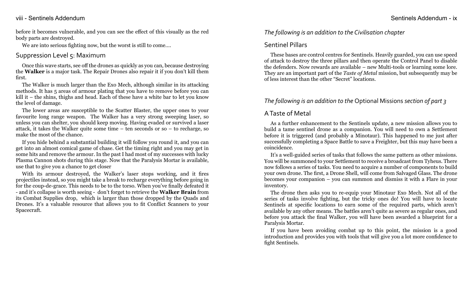#### viii - Sentinels Addendum - ix

before it becomes vulnerable, and you can see the effect of this visually as the red body parts are destroyed.

We are into serious fighting now, but the worst is still to come....

#### Suppression Level 5: Maximum

Once this wave starts, see off the drones as quickly as you can, because destroying the **Walker** is a major task. The Repair Drones also repair it if you don't kill them first.

The Walker is much larger than the Exo Mech, although similar in its attacking methods. It has 5 areas of armour plating that you have to remove before you can kill it – the shins, thighs and head. Each of these have a white bar to let you know the level of damage.

The lower areas are susceptible to the Scatter Blaster, the upper ones to your favourite long range weapon. The Walker has a very strong sweeping laser, so unless you can shelter, you should keep moving. Having evaded or survived a laser attack, it takes the Walker quite some time – ten seconds or so – to recharge, so make the most of the chance.

If you hide behind a substantial building it will follow you round it, and you can get into an almost comical game of chase. Get the timing right and you may get in some hits and remove the armour. In the past I had most of my successes with lucky Plasma Cannon shots during this stage. Now that the Paralysis Mortar is available, use that to give you a chance to get closer

With its armour destroyed, the Walker's laser stops working, and it fires projectiles instead, so you might take a break to recharge everything before going in for the coup-de-grace. This needs to be to the torso. When you've finally defeated it - and it's collapse is worth seeing - don't forget to retrieve the **Walker Brain** from its Combat Supplies drop, which is larger than those dropped by the Quads and Drones. It's a valuable resource that allows you to fit Conflict Scanners to your Spacecraft.

### *The following is an addition to the Civilisation chapter*

# Sentinel Pillars

These bases are control centres for Sentinels. Heavily guarded, you can use speed of attack to destroy the three pillars and then operate the Control Panel to disable the defenders. Now rewards are available – new Multi-tools or learning some lore. They are an important part of the *Taste of Metal* mission, but subsequently may be of less interest than the other "Secret" locations.

# *The following is an addition to the* Optional Missions *section of part 3*

# A Taste of Metal

As a further enhancement to the Sentinels update, a new mission allows you to build a tame sentinel drone as a companion. You will need to own a Settlement before it is triggered (and probably a Minotaur). This happened to me just after successfully completing a Space Battle to save a Freighter, but this may have been a coincidence.

It's a well-guided series of tasks that follows the same pattern as other missions. You will be summoned to your Settlement to receive a broadcast from Tyheus. There now follows a series of tasks. You need to acquire a number of components to build your own drone. The first, a Drone Shell, will come from Salvaged Glass. The drone becomes your companion – you can summon and dismiss it with a Flare in your inventory.

The drone then asks you to re-equip your Minotaur Exo Mech. Not all of the series of tasks involve fighting, but the tricky ones do! You will have to locate Sentinels at specific locations to earn some of the required parts, which aren't available by any other means. The battles aren't quite as severe as regular ones, and before you attack the final Walker, you will have been awarded a blueprint for a Paralysis Mortar.

If you have been avoiding combat up to this point, the mission is a good introduction and provides you with tools that will give you a lot more confidence to fight Sentinels.